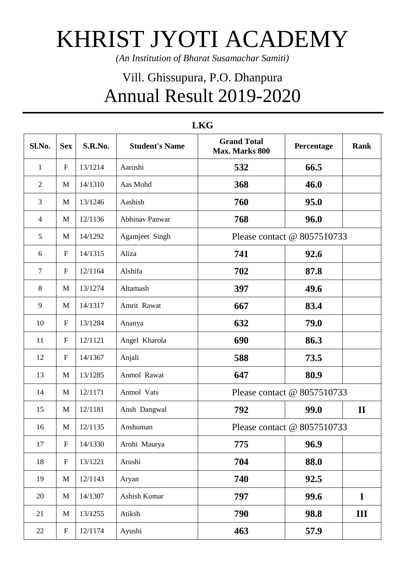## KHRIST JYOTI ACADEMY

*(An Institution of Bharat Susamachar Samiti)*

## Vill. Ghissupura, P.O. Dhanpura Annual Result 2019-2020

| Sl.No.         | <b>Sex</b>                | S.R.No. | <b>Student's Name</b> | <b>Grand Total</b><br>Max. Marks 800 | Percentage | <b>Rank</b>    |
|----------------|---------------------------|---------|-----------------------|--------------------------------------|------------|----------------|
| $\mathbf{1}$   | $\boldsymbol{\mathrm{F}}$ | 13/1214 | Aarushi               | 532                                  | 66.5       |                |
| $\overline{2}$ | M                         | 14/1310 | Aas Mohd              | 368                                  | 46.0       |                |
| 3              | M                         | 13/1246 | Aashish               | 760                                  | 95.0       |                |
| $\overline{4}$ | M                         | 12/1136 | <b>Abhinav Panwar</b> | 768                                  | 96.0       |                |
| 5              | M                         | 14/1292 | Agamjeet Singh        | Please contact @ 8057510733          |            |                |
| 6              | $\mathbf{F}$              | 14/1315 | Aliza                 | 741                                  | 92.6       |                |
| $\tau$         | $\mathbf{F}$              | 12/1164 | Alshifa               | 702                                  | 87.8       |                |
| 8              | M                         | 13/1274 | Altamash              | 397                                  | 49.6       |                |
| 9              | M                         | 14/1317 | Amrit Rawat           | 667                                  | 83.4       |                |
| 10             | $\mathbf{F}$              | 13/1284 | Ananya                | 632                                  | 79.0       |                |
| 11             | $\mathbf{F}$              | 12/1121 | Angel Kharola         | 690                                  | 86.3       |                |
| 12             | $\boldsymbol{\mathrm{F}}$ | 14/1367 | Anjali                | 588                                  | 73.5       |                |
| 13             | M                         | 13/1285 | Anmol Rawat           | 647                                  | 80.9       |                |
| 14             | M                         | 12/1171 | Anmol Vats            | Please contact @ 8057510733          |            |                |
| 15             | M                         | 12/1181 | Ansh Dangwal          | 792                                  | 99.0       | $\mathbf{I}$   |
| 16             | M                         | 12/1135 | Anshuman              | Please contact @ 8057510733          |            |                |
| 17             | $\boldsymbol{\mathrm{F}}$ | 14/1330 | Arohi Maurya          | 775                                  | 96.9       |                |
| 18             | $\boldsymbol{\mathrm{F}}$ | 13/1221 | Arushi                | 704                                  | 88.0       |                |
| 19             | M                         | 12/1143 | Aryan                 | 740                                  | 92.5       |                |
| 20             | M                         | 14/1307 | Ashish Kumar          | 797                                  | 99.6       | $\mathbf I$    |
| 21             | M                         | 13/1255 | Atiksh                | 790                                  | 98.8       | $\mathbf{III}$ |
| 22             | ${\bf F}$                 | 12/1174 | Ayushi                | 463                                  | 57.9       |                |

## **LKG**